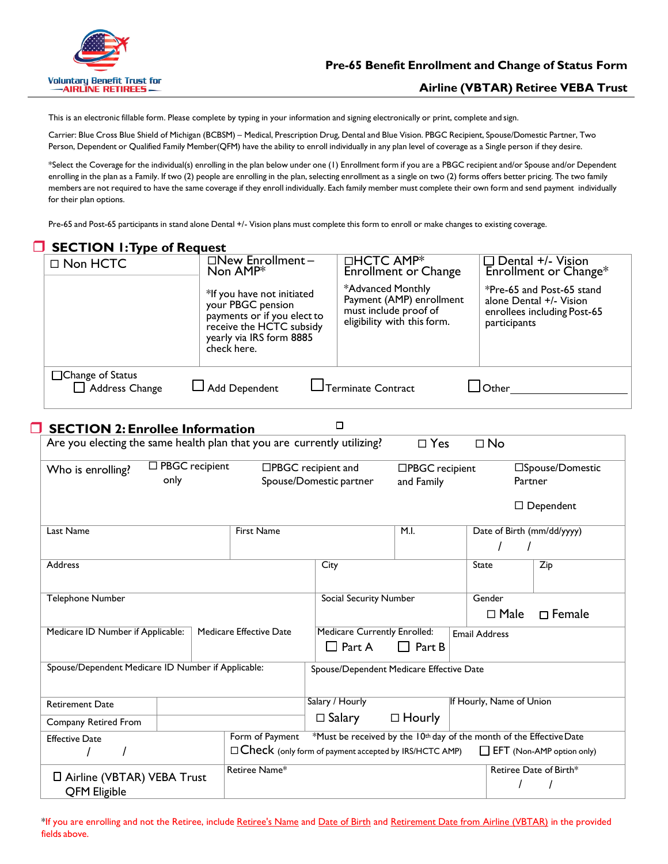

## **Airline (VBTAR) Retiree VEBA Trust**

This is an electronic fillable form. Please complete by typing in your information and signing electronically or print, complete and sign.

Carrier: Blue Cross Blue Shield of Michigan (BCBSM) – Medical, Prescription Drug, Dental and Blue Vision. PBGC Recipient, Spouse/Domestic Partner, Two Person, Dependent or Qualified Family Member(QFM) have the ability to enroll individually in any plan level of coverage as a Single person if they desire.

\*Select the Coverage for the individual(s) enrolling in the plan below under one (1) Enrollment form if you are a PBGC recipient and/or Spouse and/or Dependent enrolling in the plan as a Family. If two (2) people are enrolling in the plan, selecting enrollment as a single on two (2) forms offers better pricing. The two family members are not required to have the same coverage if they enroll individually. Each family member must complete their own form and send payment individually for their plan options.

Pre-65 and Post-65 participants in stand alone Dental +/- Vision plans must complete this form to enroll or make changes to existing coverage.

|                                                                      | <b>SECTION 1: Type of Request</b>                                                                                                          |                                                   |                                                                                                                                                       |                                                |                                                      |                                                                      |                      |                          |                                                                                     |
|----------------------------------------------------------------------|--------------------------------------------------------------------------------------------------------------------------------------------|---------------------------------------------------|-------------------------------------------------------------------------------------------------------------------------------------------------------|------------------------------------------------|------------------------------------------------------|----------------------------------------------------------------------|----------------------|--------------------------|-------------------------------------------------------------------------------------|
|                                                                      | □ Non HCTC                                                                                                                                 |                                                   | □New Enrollment-<br>Non AMP*                                                                                                                          |                                                | □HCTC AMP <sup>*</sup>                               | <b>Enrollment or Change</b>                                          |                      |                          | $\Box$ Dental +/- Vision<br>Enrollment or Change*                                   |
|                                                                      |                                                                                                                                            |                                                   | *If you have not initiated<br>your PBGC pension<br>payments or if you elect to<br>receive the HCTC subsidy<br>yearly via IRS form 8885<br>check here. |                                                | *Advanced Monthly<br>must include proof of           | Payment (AMP) enrollment<br>eligibility with this form.              |                      | participants             | *Pre-65 and Post-65 stand<br>alone Dental +/- Vision<br>enrollees including Post-65 |
|                                                                      | □Change of Status<br>Address Change                                                                                                        | $\Box$ Terminate Contract<br>$\Box$ Add Dependent |                                                                                                                                                       |                                                |                                                      | $\Box$ Other $\_\_\_\_\_\_\_\_\_\_$                                  |                      |                          |                                                                                     |
|                                                                      | <b>SECTION 2: Enrollee Information</b>                                                                                                     |                                                   |                                                                                                                                                       |                                                | □                                                    |                                                                      |                      |                          |                                                                                     |
|                                                                      | Are you electing the same health plan that you are currently utilizing?                                                                    |                                                   |                                                                                                                                                       |                                                |                                                      | $\square$ Yes                                                        |                      | $\square$ No             |                                                                                     |
|                                                                      | □ PBGC recipient<br>□PBGC recipient and<br>Who is enrolling?<br>only<br>Spouse/Domestic partner                                            |                                                   |                                                                                                                                                       |                                                |                                                      | □PBGC recipient<br>and Family                                        |                      | Partner                  | □Spouse/Domestic                                                                    |
|                                                                      |                                                                                                                                            |                                                   |                                                                                                                                                       |                                                |                                                      |                                                                      |                      |                          | $\Box$ Dependent                                                                    |
|                                                                      | Last Name                                                                                                                                  |                                                   | <b>First Name</b>                                                                                                                                     |                                                |                                                      | M.I.                                                                 |                      |                          | Date of Birth (mm/dd/yyyy)                                                          |
|                                                                      | Address                                                                                                                                    |                                                   |                                                                                                                                                       | City                                           |                                                      |                                                                      | State                |                          | $\overline{Zip}$                                                                    |
|                                                                      | Telephone Number<br>Medicare Effective Date<br>Medicare ID Number if Applicable:                                                           |                                                   |                                                                                                                                                       |                                                | <b>Social Security Number</b>                        |                                                                      | Gender               | $\square$ Male           | $\Box$ Female                                                                       |
|                                                                      |                                                                                                                                            |                                                   |                                                                                                                                                       |                                                | <b>Medicare Currently Enrolled:</b><br>$\Box$ Part A | $\Box$ Part B                                                        | <b>Email Address</b> |                          |                                                                                     |
|                                                                      | Spouse/Dependent Medicare ID Number if Applicable:                                                                                         |                                                   |                                                                                                                                                       |                                                |                                                      | Spouse/Dependent Medicare Effective Date                             |                      |                          |                                                                                     |
|                                                                      | <b>Retirement Date</b>                                                                                                                     |                                                   |                                                                                                                                                       | Salary / Hourly                                |                                                      |                                                                      |                      | If Hourly, Name of Union |                                                                                     |
|                                                                      | Company Retired From<br>Form of Payment<br><b>Effective Date</b><br>$\Box$ Check (only form of payment accepted by IRS/HCTC AMP)<br>I<br>T |                                                   |                                                                                                                                                       | $\Box$ Salary<br>$\Box$ Hourly                 |                                                      |                                                                      |                      |                          |                                                                                     |
|                                                                      |                                                                                                                                            |                                                   |                                                                                                                                                       |                                                |                                                      | *Must be received by the 10th day of the month of the Effective Date |                      |                          | EFT (Non-AMP option only)                                                           |
| Retiree Name*<br>□ Airline (VBTAR) VEBA Trust<br><b>QFM Eligible</b> |                                                                                                                                            |                                                   |                                                                                                                                                       | Retiree Date of Birth*<br>$\prime$<br>$\prime$ |                                                      |                                                                      |                      |                          |                                                                                     |

\*If you are enrolling and not the Retiree, include Retiree's Name and Date of Birth and Retirement Date from Airline (VBTAR) in the provided fields above.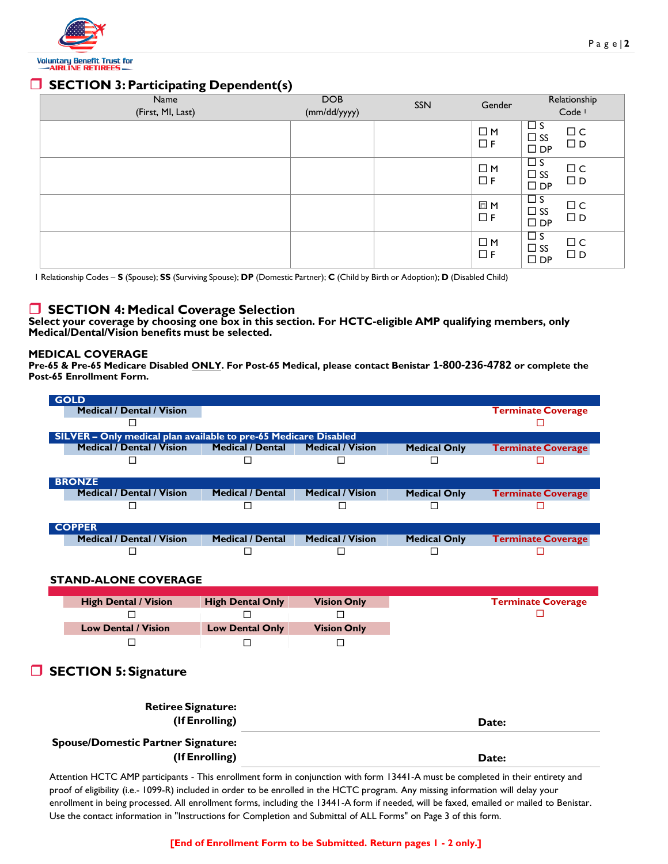

# **SECTION 3: Participating Dependent(s)**

| Name<br>(First, MI, Last) | <b>DOB</b><br>(mm/dd/yyyy) | SSN | Gender                  | Relationship<br>Code <sup>1</sup>                                                         |
|---------------------------|----------------------------|-----|-------------------------|-------------------------------------------------------------------------------------------|
|                           |                            |     | $\square$ M<br>$\Box F$ | $\Box$ s<br>$\square$<br><br>$\subset$<br>$\square$ ss<br>$\Box$ D<br>$\square$<br><br>DP |
|                           |                            |     | $\Box$ M<br>$\Box F$    | $\Box$ s<br>$\Box$ C<br>$\square$ SS<br>$\square$<br><br>D<br>$\square$<br><br>DP         |
|                           |                            |     | □ M<br>$\Box F$         | $\overline{\Box}$ s<br>$\Box$ C<br>$\square$ ss<br>$\square$ D<br>$\square$<br><br>DP     |
|                           |                            |     | $\Box$ M<br>$\Box F$    | $\Box$ s<br>$\Box$ C<br>$\Box$ SS<br>$\square$ D<br>$\square$ DP                          |

1 Relationship Codes – **S** (Spouse); **SS** (Surviving Spouse); **DP** (Domestic Partner); **C** (Child by Birth or Adoption); **D** (Disabled Child)

## **SECTION 4: Medical Coverage Selection**

**Select your coverage by choosing one box in this section. For HCTC-eligible AMP qualifying members, only Medical/Dental/Vision benefits must be selected.**

#### **MEDICAL COVERAGE**

**Pre-65 & Pre-65 Medicare Disabled ONLY. For Post-65 Medical, please contact Benistar 1-800-236-4782 or complete the Post-65 Enrollment Form.**

| <b>GOLD</b>                                                      |                         |                         |                     |                           |
|------------------------------------------------------------------|-------------------------|-------------------------|---------------------|---------------------------|
| Medical / Dental / Vision                                        |                         |                         |                     | <b>Terminate Coverage</b> |
|                                                                  |                         |                         |                     |                           |
| SILVER – Only medical plan available to pre-65 Medicare Disabled |                         |                         |                     |                           |
| <b>Medical / Dental / Vision</b>                                 | <b>Medical / Dental</b> | <b>Medical / Vision</b> | <b>Medical Only</b> | <b>Terminate Coverage</b> |
|                                                                  |                         |                         |                     |                           |
|                                                                  |                         |                         |                     |                           |
| <b>BRONZE</b>                                                    |                         |                         |                     |                           |
| Medical / Dental / Vision                                        | <b>Medical / Dental</b> | <b>Medical / Vision</b> | <b>Medical Only</b> | <b>Terminate Coverage</b> |
|                                                                  |                         |                         |                     |                           |
|                                                                  |                         |                         |                     |                           |
| <b>COPPER</b>                                                    |                         |                         |                     |                           |
| <b>Medical / Dental / Vision</b>                                 | <b>Medical / Dental</b> | <b>Medical / Vision</b> | <b>Medical Only</b> | <b>Terminate Coverage</b> |
|                                                                  |                         |                         |                     |                           |
|                                                                  |                         |                         |                     |                           |

### **STAND-ALONE COVERAGE**

| <b>High Dental / Vision</b> | <b>High Dental Only</b> | <b>Vision Only</b> |
|-----------------------------|-------------------------|--------------------|
|                             |                         |                    |
| <b>Low Dental / Vision</b>  | <b>Low Dental Only</b>  | <b>Vision Only</b> |
|                             |                         |                    |

## **SECTION 5: Signature**

| <b>Retiree Signature:</b><br>(If Enrolling)                 | Date: |
|-------------------------------------------------------------|-------|
| <b>Spouse/Domestic Partner Signature:</b><br>(If Enrolling) | Date: |

Attention HCTC AMP participants - This enrollment form in conjunction with form 13441-A must be completed in their entirety and proof of eligibility (i.e.- 1099-R) included in order to be enrolled in the HCTC program. Any missing information will delay your enrollment in being processed. All enrollment forms, including the 13441-A form if needed, will be faxed, emailed or mailed to Benistar. Use the contact information in "Instructions for Completion and Submittal of ALL Forms" on Page 3 of this form.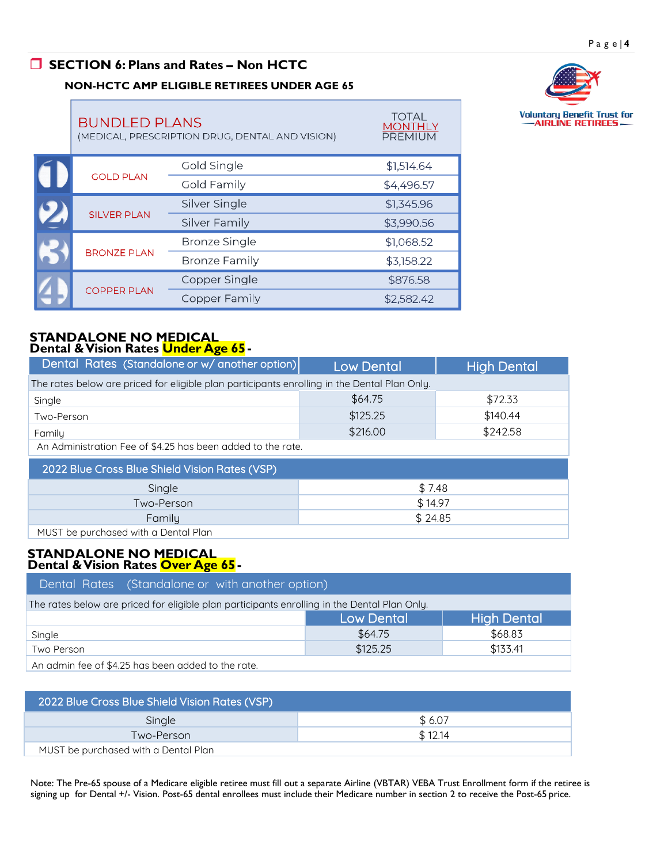# **SECTION 6: Plans and Rates – Non HCTC**

### **NON-HCTC AMP ELIGIBLE RETIREES UNDER AGE 65**

**BUNDLED PLANS DENTAL AND** 



**TOTAL** 

**MONTHLY** 

|  | (MEDICAL, PRESCRIPTION DRUG, DENTAL AND VISION) |                      | PREMIUM    |
|--|-------------------------------------------------|----------------------|------------|
|  |                                                 | Gold Single          | \$1,514.64 |
|  | <b>GOLD PLAN</b>                                | Gold Family          | \$4,496.57 |
|  |                                                 | Silver Single        | \$1,345.96 |
|  | <b>SILVER PLAN</b>                              | <b>Silver Family</b> | \$3,990.56 |
|  | <b>BRONZE PLAN</b>                              | <b>Bronze Single</b> | \$1,068.52 |
|  |                                                 | <b>Bronze Family</b> | \$3,158.22 |
|  |                                                 | Copper Single        | \$876.58   |
|  | <b>COPPER PLAN</b>                              | Copper Family        | \$2,582.42 |

#### **STANDALONE NO MEDICAL Dental & Vision Rates Under Age 65-**

| Dental Rates (Standalone or w/ another option)                                               | <b>Low Dental</b>                                           | <b>High Dental</b> |  |  |  |  |
|----------------------------------------------------------------------------------------------|-------------------------------------------------------------|--------------------|--|--|--|--|
| The rates below are priced for eligible plan participants enrolling in the Dental Plan Only. |                                                             |                    |  |  |  |  |
| Single                                                                                       | \$64.75                                                     | \$72.33            |  |  |  |  |
| Two-Person                                                                                   | \$125.25                                                    | \$140.44           |  |  |  |  |
| Family                                                                                       | \$216.00                                                    | \$242.58           |  |  |  |  |
|                                                                                              | An Administration Fee of \$4.25 has been added to the rate. |                    |  |  |  |  |
| 2022 Blue Cross Blue Shield Vision Rates (VSP)                                               |                                                             |                    |  |  |  |  |
| \$7.48<br>Single                                                                             |                                                             |                    |  |  |  |  |
| Two-Person                                                                                   | \$14.97                                                     |                    |  |  |  |  |
| Family                                                                                       | \$24.85                                                     |                    |  |  |  |  |
| MUST be purchased with a Dental Plan                                                         |                                                             |                    |  |  |  |  |

#### **STANDALONE NO MEDICAL Dental & Vision Rates Over Age 65-**

| Dental Rates (Standalone or with another option)                                             |                   |                    |  |  |  |  |
|----------------------------------------------------------------------------------------------|-------------------|--------------------|--|--|--|--|
| The rates below are priced for eligible plan participants enrolling in the Dental Plan Only. |                   |                    |  |  |  |  |
|                                                                                              | <b>Low Dental</b> | <b>High Dental</b> |  |  |  |  |
| Single                                                                                       | \$64.75           | \$68.83            |  |  |  |  |
| Two Person                                                                                   | \$125.25          | \$133.41           |  |  |  |  |
| A second at a set $\uparrow$ A OF lease lease a selected that the sector                     |                   |                    |  |  |  |  |

An admin fee of \$4.25 has been added to the rate.

| 2022 Blue Cross Blue Shield Vision Rates (VSP) |         |  |  |  |
|------------------------------------------------|---------|--|--|--|
| Single                                         | \$6.07  |  |  |  |
| Two-Person                                     | \$12.14 |  |  |  |
| MUST be purchased with a Dental Plan           |         |  |  |  |

Note: The Pre-65 spouse of a Medicare eligible retiree must fill out a separate Airline (VBTAR) VEBA Trust Enrollment form if the retiree is signing up for Dental +/- Vision. Post-65 dental enrollees must include their Medicare number in section 2 to receive the Post-65 price.